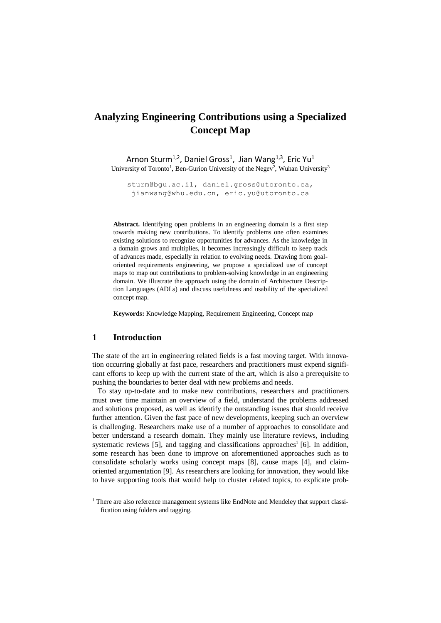# **Analyzing Engineering Contributions using a Specialized Concept Map**

Arnon Sturm<sup>1,2</sup>, Daniel Gross<sup>1</sup>, Jian Wang<sup>1,3</sup>, Eric Yu<sup>1</sup> University of Toronto<sup>1</sup>, Ben-Gurion University of the Negev<sup>2</sup>, Wuhan University<sup>3</sup>

[sturm@bgu.ac.il,](mailto:sturm@bgu.ac.il) daniel.gross@utoronto.ca, [jianwang@whu.edu.cn,](mailto:jianwang@whu.edu.cn) eric.yu@utoronto.ca

**Abstract.** Identifying open problems in an engineering domain is a first step towards making new contributions. To identify problems one often examines existing solutions to recognize opportunities for advances. As the knowledge in a domain grows and multiplies, it becomes increasingly difficult to keep track of advances made, especially in relation to evolving needs. Drawing from goaloriented requirements engineering, we propose a specialized use of concept maps to map out contributions to problem-solving knowledge in an engineering domain. We illustrate the approach using the domain of Architecture Description Languages (ADLs) and discuss usefulness and usability of the specialized concept map.

**Keywords:** Knowledge Mapping, Requirement Engineering, Concept map

#### **1 Introduction**

 $\overline{\phantom{a}}$ 

The state of the art in engineering related fields is a fast moving target. With innovation occurring globally at fast pace, researchers and practitioners must expend significant efforts to keep up with the current state of the art, which is also a prerequisite to pushing the boundaries to better deal with new problems and needs.

To stay up-to-date and to make new contributions, researchers and practitioners must over time maintain an overview of a field, understand the problems addressed and solutions proposed, as well as identify the outstanding issues that should receive further attention. Given the fast pace of new developments, keeping such an overview is challenging. Researchers make use of a number of approaches to consolidate and better understand a research domain. They mainly use literature reviews, including systematic reviews  $[5]$ , and tagging and classifications approaches<sup>1</sup> [\[6\]](#page-7-1). In addition, some research has been done to improve on aforementioned approaches such as to consolidate scholarly works using concept maps [\[8\]](#page-7-2), cause maps [\[4\]](#page-7-3), and claimoriented argumentation [\[9\]](#page-7-4). As researchers are looking for innovation, they would like to have supporting tools that would help to cluster related topics, to explicate prob-

<sup>&</sup>lt;sup>1</sup> There are also reference management systems like EndNote and Mendeley that support classification using folders and tagging.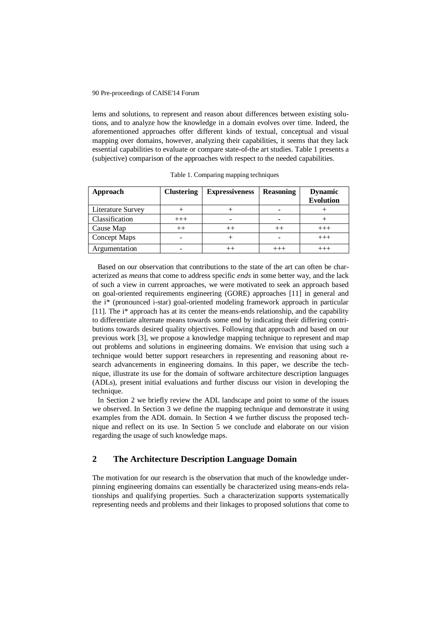#### 90 Pre-proceedings of CAISE'14 Forum

lems and solutions, to represent and reason about differences between existing solutions, and to analyze how the knowledge in a domain evolves over time. Indeed, the aforementioned approaches offer different kinds of textual, conceptual and visual mapping over domains, however, analyzing their capabilities, it seems that they lack essential capabilities to evaluate or compare state-of-the art studies. Table 1 presents a (subjective) comparison of the approaches with respect to the needed capabilities.

| Approach            | <b>Clustering</b> | <b>Expressiveness</b> | <b>Reasoning</b> | <b>Dynamic</b><br><b>Evolution</b> |
|---------------------|-------------------|-----------------------|------------------|------------------------------------|
| Literature Survey   |                   |                       |                  |                                    |
| Classification      | $^{+++}$          |                       |                  |                                    |
| Cause Map           | $++$              |                       |                  |                                    |
| <b>Concept Maps</b> |                   |                       |                  | -++                                |
| Argumentation       |                   |                       |                  |                                    |

Table 1. Comparing mapping techniques

Based on our observation that contributions to the state of the art can often be characterized as *means* that come to address specific *ends* in some better way, and the lack of such a view in current approaches, we were motivated to seek an approach based on goal-oriented requirements engineering (GORE) approaches [11] in general and the i\* (pronounced i-star) goal-oriented modeling framework approach in particular [11]. The i\* approach has at its center the means-ends relationship, and the capability to differentiate alternate means towards some end by indicating their differing contributions towards desired quality objectives. Following that approach and based on our previous work [\[3\]](#page-7-5), we propose a knowledge mapping technique to represent and map out problems and solutions in engineering domains. We envision that using such a technique would better support researchers in representing and reasoning about research advancements in engineering domains. In this paper, we describe the technique, illustrate its use for the domain of software architecture description languages (ADLs), present initial evaluations and further discuss our vision in developing the technique.

In Section 2 we briefly review the ADL landscape and point to some of the issues we observed. In Section 3 we define the mapping technique and demonstrate it using examples from the ADL domain. In Section 4 we further discuss the proposed technique and reflect on its use. In Section 5 we conclude and elaborate on our vision regarding the usage of such knowledge maps.

# **2 The Architecture Description Language Domain**

The motivation for our research is the observation that much of the knowledge underpinning engineering domains can essentially be characterized using means-ends relationships and qualifying properties. Such a characterization supports systematically representing needs and problems and their linkages to proposed solutions that come to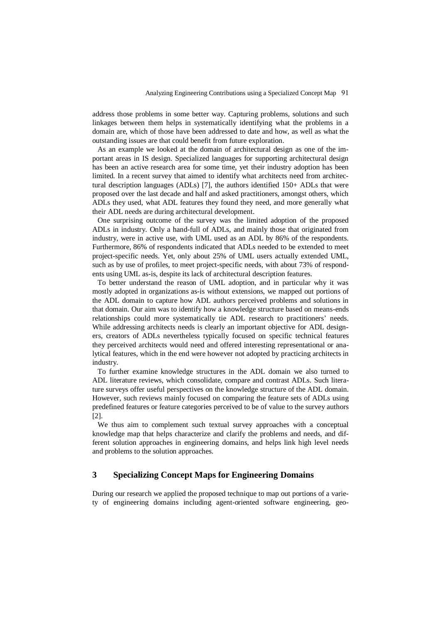address those problems in some better way. Capturing problems, solutions and such linkages between them helps in systematically identifying what the problems in a domain are, which of those have been addressed to date and how, as well as what the outstanding issues are that could benefit from future exploration.

As an example we looked at the domain of architectural design as one of the important areas in IS design. Specialized languages for supporting architectural design has been an active research area for some time, yet their industry adoption has been limited. In a recent survey that aimed to identify what architects need from architectural description languages (ADLs) [\[7\]](#page-7-6), the authors identified 150+ ADLs that were proposed over the last decade and half and asked practitioners, amongst others, which ADLs they used, what ADL features they found they need, and more generally what their ADL needs are during architectural development.

One surprising outcome of the survey was the limited adoption of the proposed ADLs in industry. Only a hand-full of ADLs, and mainly those that originated from industry, were in active use, with UML used as an ADL by 86% of the respondents. Furthermore, 86% of respondents indicated that ADLs needed to be extended to meet project-specific needs. Yet, only about 25% of UML users actually extended UML, such as by use of profiles, to meet project-specific needs, with about 73% of respondents using UML as-is, despite its lack of architectural description features.

To better understand the reason of UML adoption, and in particular why it was mostly adopted in organizations as-is without extensions, we mapped out portions of the ADL domain to capture how ADL authors perceived problems and solutions in that domain. Our aim was to identify how a knowledge structure based on means-ends relationships could more systematically tie ADL research to practitioners' needs. While addressing architects needs is clearly an important objective for ADL designers, creators of ADLs nevertheless typically focused on specific technical features they perceived architects would need and offered interesting representational or analytical features, which in the end were however not adopted by practicing architects in industry.

To further examine knowledge structures in the ADL domain we also turned to ADL literature reviews, which consolidate, compare and contrast ADLs. Such literature surveys offer useful perspectives on the knowledge structure of the ADL domain. However, such reviews mainly focused on comparing the feature sets of ADLs using predefined features or feature categories perceived to be of value to the survey authors [\[2\]](#page-7-7).

We thus aim to complement such textual survey approaches with a conceptual knowledge map that helps characterize and clarify the problems and needs, and different solution approaches in engineering domains, and helps link high level needs and problems to the solution approaches.

## **3 Specializing Concept Maps for Engineering Domains**

During our research we applied the proposed technique to map out portions of a variety of engineering domains including agent-oriented software engineering, geo-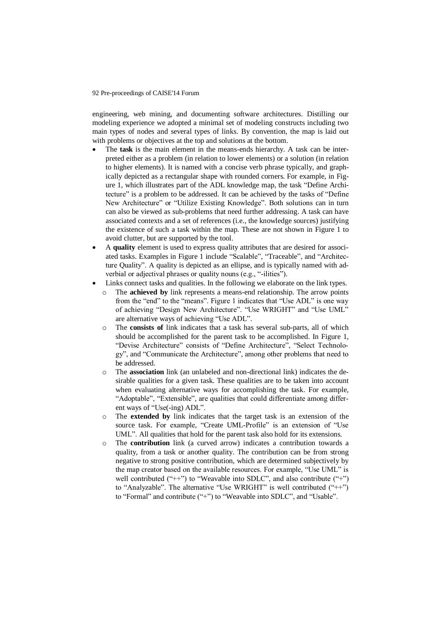#### 92 Pre-proceedings of CAISE'14 Forum

engineering, web mining, and documenting software architectures. Distilling our modeling experience we adopted a minimal set of modeling constructs including two main types of nodes and several types of links. By convention, the map is laid out with problems or objectives at the top and solutions at the bottom.

- The **task** is the main element in the means-ends hierarchy. A task can be interpreted either as a problem (in relation to lower elements) or a solution (in relation to higher elements). It is named with a concise verb phrase typically, and graphically depicted as a rectangular shape with rounded corners. For example, in Figure 1, which illustrates part of the ADL knowledge map, the task "Define Architecture" is a problem to be addressed. It can be achieved by the tasks of "Define New Architecture" or "Utilize Existing Knowledge". Both solutions can in turn can also be viewed as sub-problems that need further addressing. A task can have associated contexts and a set of references (i.e., the knowledge sources) justifying the existence of such a task within the map. These are not shown in Figure 1 to avoid clutter, but are supported by the tool.
- A **quality** element is used to express quality attributes that are desired for associated tasks. Examples in Figure 1 include "Scalable", "Traceable", and "Architecture Quality". A quality is depicted as an ellipse, and is typically named with adverbial or adjectival phrases or quality nouns (e.g., "-ilities").
- Links connect tasks and qualities. In the following we elaborate on the link types.
	- o The **achieved by** link represents a means-end relationship. The arrow points from the "end" to the "means". Figure 1 indicates that "Use ADL" is one way of achieving "Design New Architecture". "Use WRIGHT" and "Use UML" are alternative ways of achieving "Use ADL".
	- o The **consists of** link indicates that a task has several sub-parts, all of which should be accomplished for the parent task to be accomplished. In Figure 1, "Devise Architecture" consists of "Define Architecture", "Select Technology", and "Communicate the Architecture", among other problems that need to be addressed.
	- o The **association** link (an unlabeled and non-directional link) indicates the desirable qualities for a given task. These qualities are to be taken into account when evaluating alternative ways for accomplishing the task. For example, "Adoptable", "Extensible", are qualities that could differentiate among different ways of "Use(-ing) ADL".
	- o The **extended by** link indicates that the target task is an extension of the source task. For example, "Create UML-Profile" is an extension of "Use UML". All qualities that hold for the parent task also hold for its extensions.
	- o The **contribution** link (a curved arrow) indicates a contribution towards a quality, from a task or another quality. The contribution can be from strong negative to strong positive contribution, which are determined subjectively by the map creator based on the available resources. For example, "Use UML" is well contributed ("++") to "Weavable into SDLC", and also contribute ("+") to "Analyzable". The alternative "Use WRIGHT" is well contributed ("++") to "Formal" and contribute ("+") to "Weavable into SDLC", and "Usable".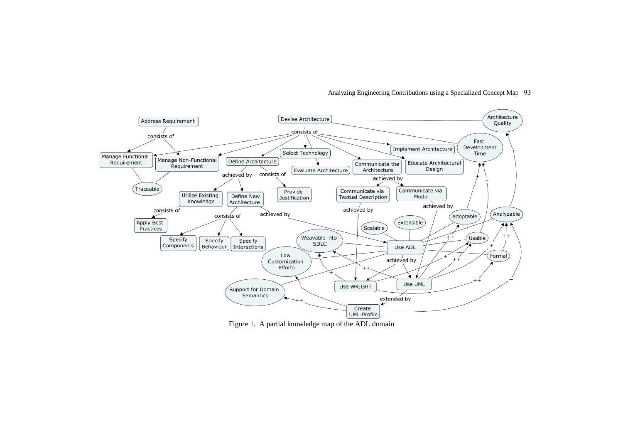

#### Analyzing Engineering Contributions using a Specialized Concept Map 93

Figure 1. A partial knowledge map of the ADL domain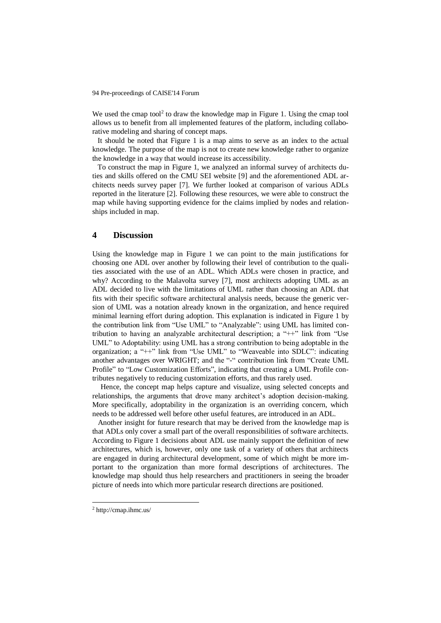We used the cmap tool<sup>2</sup> to draw the knowledge map in Figure 1. Using the cmap tool allows us to benefit from all implemented features of the platform, including collaborative modeling and sharing of concept maps.

It should be noted that Figure 1 is a map aims to serve as an index to the actual knowledge. The purpose of the map is not to create new knowledge rather to organize the knowledge in a way that would increase its accessibility.

To construct the map in Figure 1, we analyzed an informal survey of architects duties and skills offered on the CMU SEI website [\[9\]](#page-7-8) and the aforementioned ADL architects needs survey paper [\[7\]](#page-7-6). We further looked at comparison of various ADLs reported in the literature [\[2\]](#page-7-7). Following these resources, we were able to construct the map while having supporting evidence for the claims implied by nodes and relationships included in map.

### **4 Discussion**

Using the knowledge map in Figure 1 we can point to the main justifications for choosing one ADL over another by following their level of contribution to the qualities associated with the use of an ADL. Which ADLs were chosen in practice, and why? According to the Malavolta survey [7], most architects adopting UML as an ADL decided to live with the limitations of UML rather than choosing an ADL that fits with their specific software architectural analysis needs, because the generic version of UML was a notation already known in the organization, and hence required minimal learning effort during adoption. This explanation is indicated in Figure 1 by the contribution link from "Use UML" to "Analyzable": using UML has limited contribution to having an analyzable architectural description; a "++" link from "Use UML" to Adoptability: using UML has a strong contribution to being adoptable in the organization; a "++" link from "Use UML" to "Weaveable into SDLC": indicating another advantages over WRIGHT; and the "-" contribution link from "Create UML Profile" to "Low Customization Efforts", indicating that creating a UML Profile contributes negatively to reducing customization efforts, and thus rarely used.

Hence, the concept map helps capture and visualize, using selected concepts and relationships, the arguments that drove many architect's adoption decision-making. More specifically, adoptability in the organization is an overriding concern, which needs to be addressed well before other useful features, are introduced in an ADL.

 Another insight for future research that may be derived from the knowledge map is that ADLs only cover a small part of the overall responsibilities of software architects. According to Figure 1 decisions about ADL use mainly support the definition of new architectures, which is, however, only one task of a variety of others that architects are engaged in during architectural development, some of which might be more important to the organization than more formal descriptions of architectures. The knowledge map should thus help researchers and practitioners in seeing the broader picture of needs into which more particular research directions are positioned.

 $\overline{a}$ 

<sup>2</sup> http://cmap.ihmc.us/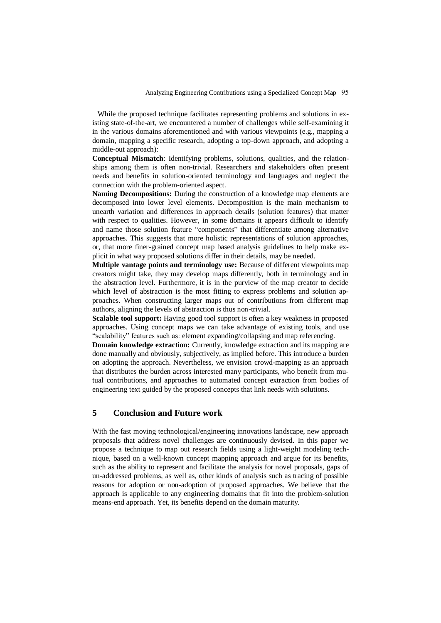While the proposed technique facilitates representing problems and solutions in existing state-of-the-art, we encountered a number of challenges while self-examining it in the various domains aforementioned and with various viewpoints (e.g., mapping a domain, mapping a specific research, adopting a top-down approach, and adopting a middle-out approach):

**Conceptual Mismatch**: Identifying problems, solutions, qualities, and the relationships among them is often non-trivial. Researchers and stakeholders often present needs and benefits in solution-oriented terminology and languages and neglect the connection with the problem-oriented aspect.

**Naming Decompositions:** During the construction of a knowledge map elements are decomposed into lower level elements. Decomposition is the main mechanism to unearth variation and differences in approach details (solution features) that matter with respect to qualities. However, in some domains it appears difficult to identify and name those solution feature "components" that differentiate among alternative approaches. This suggests that more holistic representations of solution approaches, or, that more finer-grained concept map based analysis guidelines to help make explicit in what way proposed solutions differ in their details, may be needed.

**Multiple vantage points and terminology use:** Because of different viewpoints map creators might take, they may develop maps differently, both in terminology and in the abstraction level. Furthermore, it is in the purview of the map creator to decide which level of abstraction is the most fitting to express problems and solution approaches. When constructing larger maps out of contributions from different map authors, aligning the levels of abstraction is thus non-trivial.

**Scalable tool support:** Having good tool support is often a key weakness in proposed approaches. Using concept maps we can take advantage of existing tools, and use "scalability" features such as: element expanding/collapsing and map referencing.

**Domain knowledge extraction:** Currently, knowledge extraction and its mapping are done manually and obviously, subjectively, as implied before. This introduce a burden on adopting the approach. Nevertheless, we envision crowd-mapping as an approach that distributes the burden across interested many participants, who benefit from mutual contributions, and approaches to automated concept extraction from bodies of engineering text guided by the proposed concepts that link needs with solutions.

# **5 Conclusion and Future work**

With the fast moving technological/engineering innovations landscape, new approach proposals that address novel challenges are continuously devised. In this paper we propose a technique to map out research fields using a light-weight modeling technique, based on a well-known concept mapping approach and argue for its benefits, such as the ability to represent and facilitate the analysis for novel proposals, gaps of un-addressed problems, as well as, other kinds of analysis such as tracing of possible reasons for adoption or non-adoption of proposed approaches. We believe that the approach is applicable to any engineering domains that fit into the problem-solution means-end approach. Yet, its benefits depend on the domain maturity.